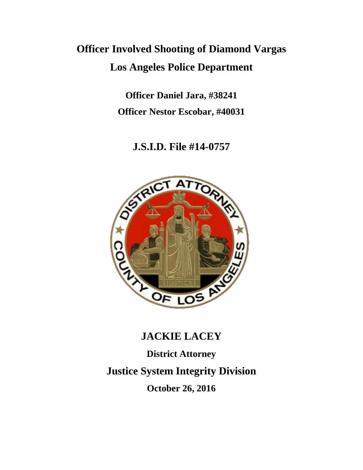# **Officer Involved Shooting of Diamond Vargas Los Angeles Police Department**

**Officer Daniel Jara, #38241 Officer Nestor Escobar, #40031**

**J.S.I.D. File #14-0757**



## **JACKIE LACEY**

**District Attorney Justice System Integrity Division October 26, 2016**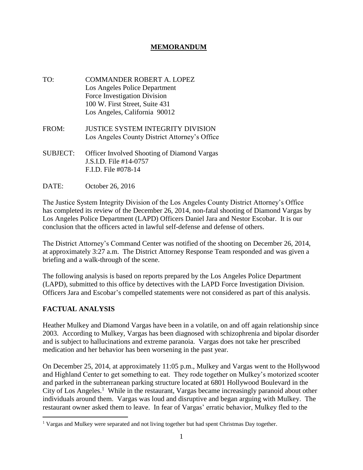#### **MEMORANDUM**

- TO: COMMANDER ROBERT A. LOPEZ Los Angeles Police Department Force Investigation Division 100 W. First Street, Suite 431 Los Angeles, California 90012
- FROM: JUSTICE SYSTEM INTEGRITY DIVISION Los Angeles County District Attorney's Office
- SUBJECT: Officer Involved Shooting of Diamond Vargas J.S.I.D. File #14-0757 F.I.D. File #078-14
- DATE: October 26, 2016

The Justice System Integrity Division of the Los Angeles County District Attorney's Office has completed its review of the December 26, 2014, non-fatal shooting of Diamond Vargas by Los Angeles Police Department (LAPD) Officers Daniel Jara and Nestor Escobar. It is our conclusion that the officers acted in lawful self-defense and defense of others.

The District Attorney's Command Center was notified of the shooting on December 26, 2014, at approximately 3:27 a.m. The District Attorney Response Team responded and was given a briefing and a walk-through of the scene.

The following analysis is based on reports prepared by the Los Angeles Police Department (LAPD), submitted to this office by detectives with the LAPD Force Investigation Division. Officers Jara and Escobar's compelled statements were not considered as part of this analysis.

#### **FACTUAL ANALYSIS**

 $\overline{a}$ 

Heather Mulkey and Diamond Vargas have been in a volatile, on and off again relationship since 2003. According to Mulkey, Vargas has been diagnosed with schizophrenia and bipolar disorder and is subject to hallucinations and extreme paranoia. Vargas does not take her prescribed medication and her behavior has been worsening in the past year.

On December 25, 2014, at approximately 11:05 p.m., Mulkey and Vargas went to the Hollywood and Highland Center to get something to eat. They rode together on Mulkey's motorized scooter and parked in the subterranean parking structure located at 6801 Hollywood Boulevard in the City of Los Angeles.<sup>1</sup> While in the restaurant, Vargas became increasingly paranoid about other individuals around them. Vargas was loud and disruptive and began arguing with Mulkey. The restaurant owner asked them to leave. In fear of Vargas' erratic behavior, Mulkey fled to the

<sup>&</sup>lt;sup>1</sup> Vargas and Mulkey were separated and not living together but had spent Christmas Day together.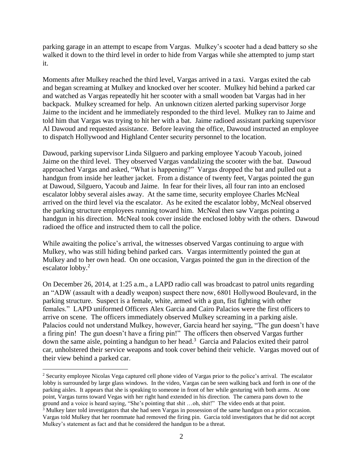parking garage in an attempt to escape from Vargas. Mulkey's scooter had a dead battery so she walked it down to the third level in order to hide from Vargas while she attempted to jump start it.

Moments after Mulkey reached the third level, Vargas arrived in a taxi. Vargas exited the cab and began screaming at Mulkey and knocked over her scooter. Mulkey hid behind a parked car and watched as Vargas repeatedly hit her scooter with a small wooden bat Vargas had in her backpack. Mulkey screamed for help. An unknown citizen alerted parking supervisor Jorge Jaime to the incident and he immediately responded to the third level. Mulkey ran to Jaime and told him that Vargas was trying to hit her with a bat. Jaime radioed assistant parking supervisor Al Dawoud and requested assistance. Before leaving the office, Dawoud instructed an employee to dispatch Hollywood and Highland Center security personnel to the location.

Dawoud, parking supervisor Linda Silguero and parking employee Yacoub Yacoub, joined Jaime on the third level. They observed Vargas vandalizing the scooter with the bat. Dawoud approached Vargas and asked, "What is happening?" Vargas dropped the bat and pulled out a handgun from inside her leather jacket. From a distance of twenty feet, Vargas pointed the gun at Dawoud, Silguero, Yacoub and Jaime. In fear for their lives, all four ran into an enclosed escalator lobby several aisles away. At the same time, security employee Charles McNeal arrived on the third level via the escalator. As he exited the escalator lobby, McNeal observed the parking structure employees running toward him. McNeal then saw Vargas pointing a handgun in his direction. McNeal took cover inside the enclosed lobby with the others. Dawoud radioed the office and instructed them to call the police.

While awaiting the police's arrival, the witnesses observed Vargas continuing to argue with Mulkey, who was still hiding behind parked cars. Vargas intermittently pointed the gun at Mulkey and to her own head. On one occasion, Vargas pointed the gun in the direction of the escalator lobby.<sup>2</sup>

On December 26, 2014, at 1:25 a.m., a LAPD radio call was broadcast to patrol units regarding an "ADW (assault with a deadly weapon) suspect there now, 6801 Hollywood Boulevard, in the parking structure. Suspect is a female, white, armed with a gun, fist fighting with other females." LAPD uniformed Officers Alex Garcia and Cairo Palacios were the first officers to arrive on scene. The officers immediately observed Mulkey screaming in a parking aisle. Palacios could not understand Mulkey, however, Garcia heard her saying, "The gun doesn't have a firing pin! The gun doesn't have a firing pin!" The officers then observed Vargas further down the same aisle, pointing a handgun to her head.<sup>3</sup> Garcia and Palacios exited their patrol car, unholstered their service weapons and took cover behind their vehicle. Vargas moved out of their view behind a parked car.

 $\overline{a}$ 

<sup>&</sup>lt;sup>2</sup> Security employee Nicolas Vega captured cell phone video of Vargas prior to the police's arrival. The escalator lobby is surrounded by large glass windows. In the video, Vargas can be seen walking back and forth in one of the parking aisles. It appears that she is speaking to someone in front of her while gesturing with both arms. At one point, Vargas turns toward Vegas with her right hand extended in his direction. The camera pans down to the ground and a voice is heard saying, "She's pointing that shit …oh, shit!" The video ends at that point.

<sup>&</sup>lt;sup>3</sup> Mulkey later told investigators that she had seen Vargas in possession of the same handgun on a prior occasion. Vargas told Mulkey that her roommate had removed the firing pin. Garcia told investigators that he did not accept Mulkey's statement as fact and that he considered the handgun to be a threat.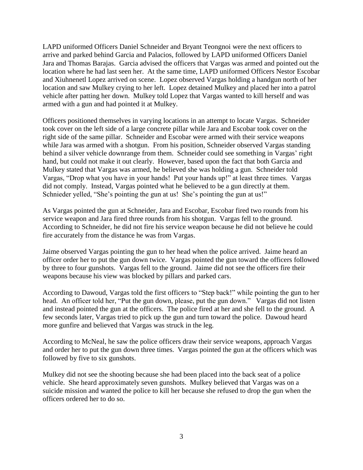LAPD uniformed Officers Daniel Schneider and Bryant Teongnoi were the next officers to arrive and parked behind Garcia and Palacios, followed by LAPD uniformed Officers Daniel Jara and Thomas Barajas. Garcia advised the officers that Vargas was armed and pointed out the location where he had last seen her. At the same time, LAPD uniformed Officers Nestor Escobar and Xiuhnenetl Lopez arrived on scene. Lopez observed Vargas holding a handgun north of her location and saw Mulkey crying to her left. Lopez detained Mulkey and placed her into a patrol vehicle after patting her down. Mulkey told Lopez that Vargas wanted to kill herself and was armed with a gun and had pointed it at Mulkey.

Officers positioned themselves in varying locations in an attempt to locate Vargas. Schneider took cover on the left side of a large concrete pillar while Jara and Escobar took cover on the right side of the same pillar. Schneider and Escobar were armed with their service weapons while Jara was armed with a shotgun. From his position, Schneider observed Vargas standing behind a silver vehicle downrange from them. Schneider could see something in Vargas' right hand, but could not make it out clearly. However, based upon the fact that both Garcia and Mulkey stated that Vargas was armed, he believed she was holding a gun. Schneider told Vargas, "Drop what you have in your hands! Put your hands up!" at least three times. Vargas did not comply. Instead, Vargas pointed what he believed to be a gun directly at them. Schnieder yelled, "She's pointing the gun at us! She's pointing the gun at us!"

As Vargas pointed the gun at Schneider, Jara and Escobar, Escobar fired two rounds from his service weapon and Jara fired three rounds from his shotgun. Vargas fell to the ground. According to Schneider, he did not fire his service weapon because he did not believe he could fire accurately from the distance he was from Vargas.

Jaime observed Vargas pointing the gun to her head when the police arrived. Jaime heard an officer order her to put the gun down twice. Vargas pointed the gun toward the officers followed by three to four gunshots. Vargas fell to the ground. Jaime did not see the officers fire their weapons because his view was blocked by pillars and parked cars.

According to Dawoud, Vargas told the first officers to "Step back!" while pointing the gun to her head. An officer told her, "Put the gun down, please, put the gun down." Vargas did not listen and instead pointed the gun at the officers. The police fired at her and she fell to the ground. A few seconds later, Vargas tried to pick up the gun and turn toward the police. Dawoud heard more gunfire and believed that Vargas was struck in the leg.

According to McNeal, he saw the police officers draw their service weapons, approach Vargas and order her to put the gun down three times. Vargas pointed the gun at the officers which was followed by five to six gunshots.

Mulkey did not see the shooting because she had been placed into the back seat of a police vehicle. She heard approximately seven gunshots. Mulkey believed that Vargas was on a suicide mission and wanted the police to kill her because she refused to drop the gun when the officers ordered her to do so.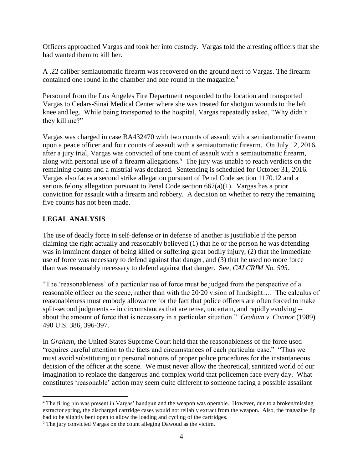Officers approached Vargas and took her into custody. Vargas told the arresting officers that she had wanted them to kill her.

A .22 caliber semiautomatic firearm was recovered on the ground next to Vargas. The firearm contained one round in the chamber and one round in the magazine.<sup>4</sup>

Personnel from the Los Angeles Fire Department responded to the location and transported Vargas to Cedars-Sinai Medical Center where she was treated for shotgun wounds to the left knee and leg. While being transported to the hospital, Vargas repeatedly asked, "Why didn't they kill me?"

Vargas was charged in case BA432470 with two counts of assault with a semiautomatic firearm upon a peace officer and four counts of assault with a semiautomatic firearm. On July 12, 2016, after a jury trial, Vargas was convicted of one count of assault with a semiautomatic firearm, along with personal use of a firearm allegations. 5 The jury was unable to reach verdicts on the remaining counts and a mistrial was declared. Sentencing is scheduled for October 31, 2016. Vargas also faces a second strike allegation pursuant of Penal Code section 1170.12 and a serious felony allegation pursuant to Penal Code section 667(a)(1). Vargas has a prior conviction for assault with a firearm and robbery. A decision on whether to retry the remaining five counts has not been made.

#### **LEGAL ANALYSIS**

 $\overline{a}$ 

The use of deadly force in self-defense or in defense of another is justifiable if the person claiming the right actually and reasonably believed (1) that he or the person he was defending was in imminent danger of being killed or suffering great bodily injury, (2) that the immediate use of force was necessary to defend against that danger, and (3) that he used no more force than was reasonably necessary to defend against that danger. See, *CALCRIM No. 505*.

"The 'reasonableness' of a particular use of force must be judged from the perspective of a reasonable officer on the scene, rather than with the 20/20 vision of hindsight…. The calculus of reasonableness must embody allowance for the fact that police officers are often forced to make split-second judgments -- in circumstances that are tense, uncertain, and rapidly evolving - about the amount of force that is necessary in a particular situation." *Graham v. Connor* (1989) 490 U.S. 386, 396-397.

In *Graham*, the United States Supreme Court held that the reasonableness of the force used "requires careful attention to the facts and circumstances of each particular case." "Thus we must avoid substituting our personal notions of proper police procedures for the instantaneous decision of the officer at the scene. We must never allow the theoretical, sanitized world of our imagination to replace the dangerous and complex world that policemen face every day. What constitutes 'reasonable' action may seem quite different to someone facing a possible assailant

<sup>4</sup> The firing pin was present in Vargas' handgun and the weapon was operable. However, due to a broken/missing extractor spring, the discharged cartridge cases would not reliably extract from the weapon. Also, the magazine lip had to be slightly bent open to allow the loading and cycling of the cartridges.

<sup>5</sup> The jury convicted Vargas on the count alleging Dawoud as the victim.